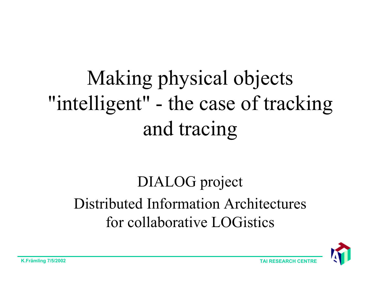# Making physical objects "intelligent" - the case of tracking and tracing

#### DIALOG project Distributed Information Architectures for collaborative LOGistics

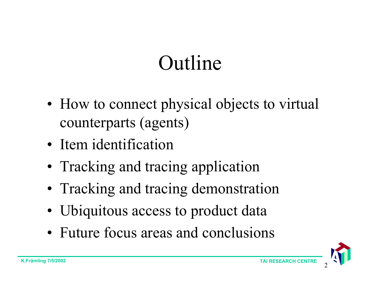#### Outline

- How to connect physical objects to virtual counterparts (agents)
- Item identification
- Tracking and tracing application
- Tracking and tracing demonstration
- Ubiquitous access to product data
- Future focus areas and conclusions

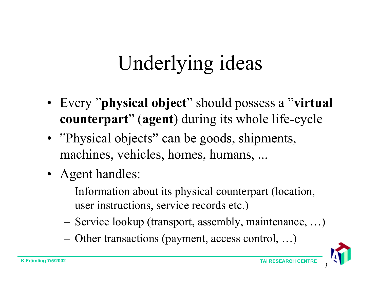## Underlying ideas

- Every "**physical object**" should possess a "**virtual counterpart**" (**agen<sup>t</sup>**) during its whole life-cycle
- "Physical objects" can be goods, shipments, machines, vehicles, homes, humans, ...
- Agent handles:
	- Information about its physical counterpart (location, user instructions, service records etc.)
	- Service lookup (transport, assembly, maintenance, …)
	- Other transactions (payment, access control, …)

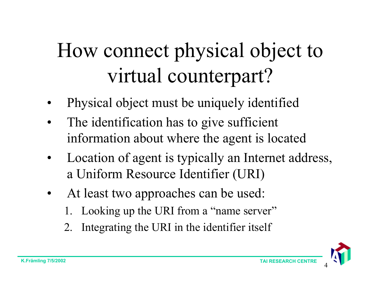# How connect physical object to virtual counterpart?

- •Physical object must be uniquely identified
- • The identification has to give sufficient information about where the agent is located
- • Location of agent is typically an Internet address, a Uniform Resource Identifier (URI)
- • At least two approaches can be used:
	- 1. Looking up the URI from a "name server"
	- 2. Integrating the URI in the identifier itself

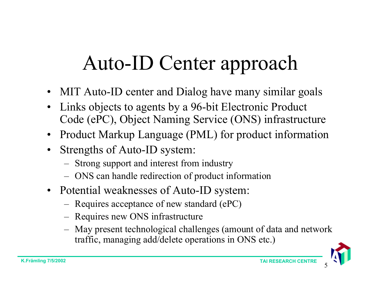## Auto-ID Center approach

- MIT Auto-ID center and Dialog have many similar goals
- • Links objects to agents by a 96-bit Electronic Product Code (ePC), Object Naming Service (ONS) infrastructure
- Product Markup Language (PML) for product information
- Strengths of Auto-ID system:
	- Strong support and interest from industry
	- –ONS can handle redirection of product information
- Potential weaknesses of Auto-ID system:
	- –Requires acceptance of new standard (ePC)
	- Requires new ONS infrastructure
	- May present technological challenges (amount of data and network traffic, managing add/delete operations in ONS etc.)

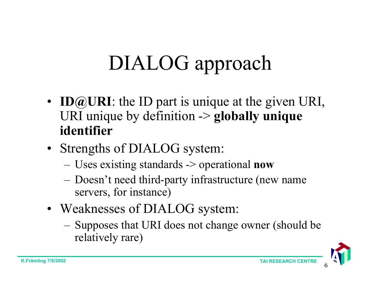# DIALOG approach

- **ID@URI**: the ID part is unique at the given URI, URI unique by definition -> **globally unique identifier**
- Strengths of DIALOG system:
	- Uses existing standards -> operational **now**
	- Doesn't need third-party infrastructure (new name servers, for instance)
- Weaknesses of DIALOG system:
	- Supposes that URI does not change owner (should be relatively rare)

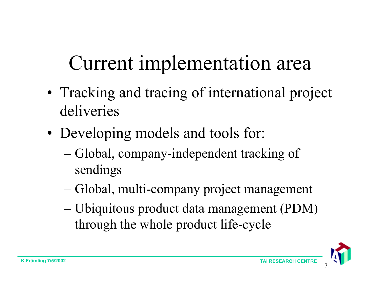## Current implementation area

- Tracking and tracing of international project deliveries
- Developing models and tools for:
	- Global, company-independent tracking of sendings
	- Global, multi-company project management
	- Ubiquitous product data management (PDM) through the whole product life-cycle

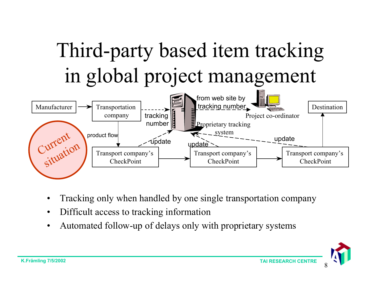

- •Tracking only when handled by one single transportation company
- •Difficult access to tracking information
- •Automated follow-up of delays only with proprietary systems

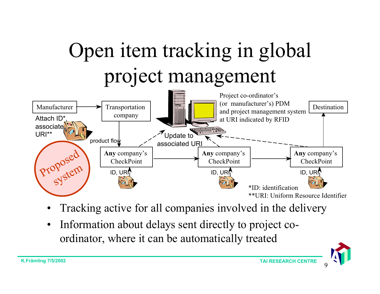

- •Tracking active for all companies involved in the delivery
- • Information about delays sent directly to project coordinator, where it can be automatically treated

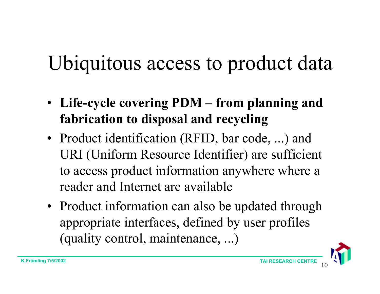# Ubiquitous access to product data

- **Life-cycle covering PDM – from planning and fabrication to disposal and recycling**
- Product identification (RFID, bar code, ...) and URI (Uniform Resource Identifier) are sufficient to access product information anywhere where <sup>a</sup> reader and Internet are available
- Product information can also be updated through appropriate interfaces, defined by user profiles (quality control, maintenance, ...)

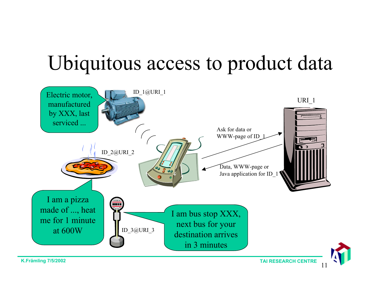## Ubiquitous access to product data



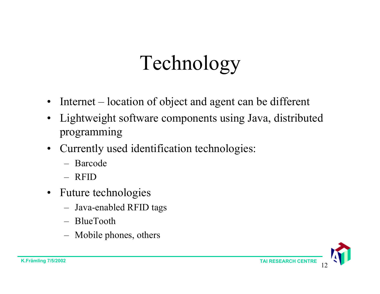## Technology

- Internet location of object and agent can be different
- Lightweight software components using Java, distributed programming
- Currently used identification technologies:
	- Barcode
	- RFID
- Future technologies
	- –Java-enabled RFID tags
	- BlueTooth
	- –Mobile phones, others

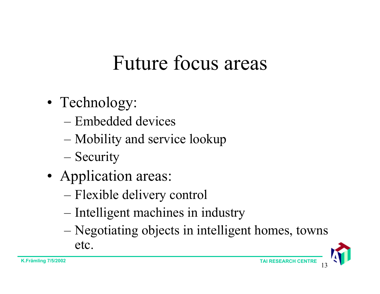#### Future focus areas

- Technology:
	- Embedded devices
	- Mobility and service lookup
	- Security
- Application areas:
	- Flexible delivery control
	- Intelligent machines in industry
	- Negotiating objects in intelligent homes, towns etc.

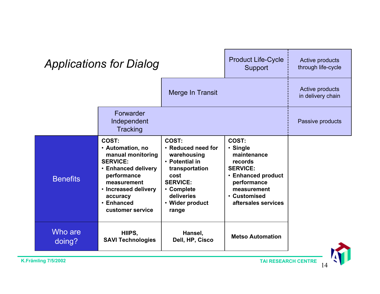| <b>Applications for Dialog</b> |                                                                                                                                                                                              |                                                                                                                                                                   | <b>Product Life-Cycle</b><br>Support                                                                                                                      | Active products<br>through life-cycle |
|--------------------------------|----------------------------------------------------------------------------------------------------------------------------------------------------------------------------------------------|-------------------------------------------------------------------------------------------------------------------------------------------------------------------|-----------------------------------------------------------------------------------------------------------------------------------------------------------|---------------------------------------|
|                                |                                                                                                                                                                                              | Merge In Transit                                                                                                                                                  |                                                                                                                                                           | Active products<br>in delivery chain  |
|                                | Forwarder<br>Independent<br>Tracking                                                                                                                                                         |                                                                                                                                                                   |                                                                                                                                                           | Passive products                      |
| <b>Benefits</b>                | COST:<br>• Automation, no<br>manual monitoring<br><b>SERVICE:</b><br>• Enhanced delivery<br>performance<br>measurement<br>• Increased delivery<br>accuracy<br>• Enhanced<br>customer service | COST:<br>• Reduced need for<br>warehousing<br>• Potential in<br>transportation<br>cost<br><b>SERVICE:</b><br>• Complete<br>deliveries<br>• Wider product<br>range | COST:<br>· Single<br>maintenance<br>records<br><b>SERVICE:</b><br>• Enhanced product<br>performance<br>measurement<br>• Customised<br>aftersales services |                                       |
| Who are<br>doing?              | HIIPS,<br><b>SAVI Technologies</b>                                                                                                                                                           | Hansel,<br>Dell, HP, Cisco                                                                                                                                        | <b>Metso Automation</b>                                                                                                                                   |                                       |